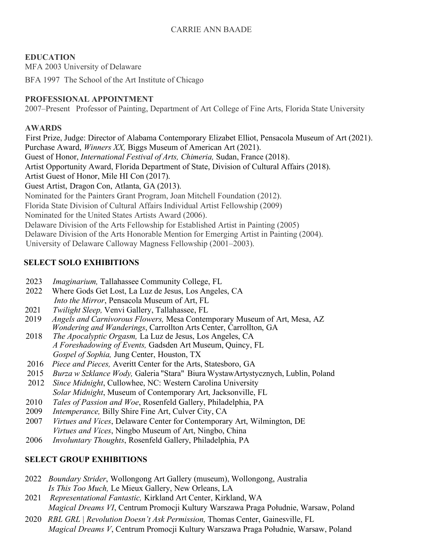## **EDUCATION**

MFA 2003 University of Delaware

BFA 1997 The School of the Art Institute of Chicago

## **PROFESSIONAL APPOINTMENT**

2007–Present Professor of Painting, Department of Art College of Fine Arts, Florida State University

### **AWARDS**

 First Prize, Judge: Director of Alabama Contemporary Elizabet Elliot, Pensacola Museum of Art (2021). Purchase Award, *Winners XX,* Biggs Museum of American Art (2021). Guest of Honor, *International Festival of Arts, Chimeria,* Sudan, France (2018). Artist Opportunity Award, Florida Department of State, Division of Cultural Affairs (2018). Artist Guest of Honor, Mile HI Con (2017). Guest Artist, Dragon Con, Atlanta, GA (2013). Nominated for the Painters Grant Program, Joan Mitchell Foundation (2012). Florida State Division of Cultural Affairs Individual Artist Fellowship (2009) Nominated for the United States Artists Award (2006). Delaware Division of the Arts Fellowship for Established Artist in Painting (2005) Delaware Division of the Arts Honorable Mention for Emerging Artist in Painting (2004). University of Delaware Calloway Magness Fellowship (2001–2003).

# **SELECT SOLO EXHIBITIONS**

- 2023 *Imaginarium,* Tallahassee Community College, FL
- 2022 Where Gods Get Lost, La Luz de Jesus, Los Angeles, CA *Into the Mirror*, Pensacola Museum of Art, FL
- 2021 *Twilight Sleep,* Venvi Gallery, Tallahassee, FL
- 2019 *Angels and Carnivorous Flowers,* Mesa Contemporary Museum of Art, Mesa, AZ *Wondering and Wanderings*, Carrollton Arts Center, Carrollton, GA
- 2018 *The Apocalyptic Orgasm,* La Luz de Jesus, Los Angeles, CA  *A Foreshadowing of Events,* Gadsden Art Museum, Quincy, FL  *Gospel of Sophia,* Jung Center, Houston, TX
- 2016 *Piece and Pieces,* Averitt Center for the Arts, Statesboro, GA
- 2015 *Burza w Szklance Wody,* Galeria "Stara" Biura WystawArtystycznych, Lublin, Poland
- 2012 *Since Midnight*, Cullowhee, NC: Western Carolina University *Solar Midnight*, Museum of Contemporary Art, Jacksonville, FL
- 2010 *Tales of Passion and Woe*, Rosenfeld Gallery, Philadelphia, PA
- 2009 *Intemperance,* Billy Shire Fine Art, Culver City, CA
- 2007 *Virtues and Vices*, Delaware Center for Contemporary Art, Wilmington, DE *Virtues and Vices*, Ningbo Museum of Art, Ningbo, China
- 2006 *Involuntary Thoughts*, Rosenfeld Gallery, Philadelphia, PA

# **SELECT GROUP EXHIBITIONS**

- 2022 *Boundary Strider*, Wollongong Art Gallery (museum), Wollongong, Australia *Is This Too Much,* Le Mieux Gallery, New Orleans, LA
- 2021 *Representational Fantastic,* Kirkland Art Center, Kirkland, WA *Magical Dreams VI*, Centrum Promocji Kultury Warszawa Praga Południe, Warsaw, Poland
- 2020 *RBL GRL | Revolution Doesn't Ask Permission,* Thomas Center, Gainesville, FL *Magical Dreams V*, Centrum Promocji Kultury Warszawa Praga Południe, Warsaw, Poland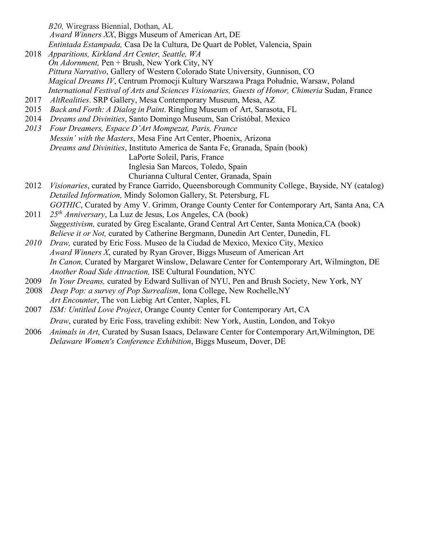*B20,* Wiregrass Biennial, Dothan, AL *Award Winners XX*, Biggs Museum of American Art, DE *Entintada Estampada,* Casa De la Cultura, De Quart de Poblet, Valencia, Spain

- 2018 *Apparitions, Kirkland Art Center, Seattle, WA On Adornment,* Pen + Brush, New York City, NY *Pittura Narrativo*, Gallery of Western Colorado State University, Gunnison, CO *Magical Dreams IV*, Centrum Promocji Kultury Warszawa Praga Południe, Warsaw, Poland *International Festival of Arts and Sciences Visionaries, Guests of Honor, Chimeria* Sudan, France
- 2017 *AltRealities*. SRP Gallery, Mesa Contemporary Museum, Mesa, AZ
- 2015 *Back and Forth: A Dialog in Paint*. Ringling Museum of Art, Sarasota, FL
- 2014 *Dreams and Divinities*, Santo Domingo Museum, San Cristóbal, Mexico
- *2013 Four Dreamers, Espace D'Art Mompezat, Paris, France Messin' with the Masters*, Mesa Fine Art Center, Phoenix, Arizona *Dreams and Divinities*, Instituto America de Santa Fe, Granada, Spain (book) LaPorte Soleil, Paris, France Inglesia San Marcos, Toledo, Spain Churianna Cultural Center, Granada, Spain
- 2012 *Visionaries*, curated by France Garrido, Queensborough Community College , Bayside, NY (catalog) *Detailed Information,* Mindy Solomon Gallery, St. Petersburg, FL
- *GOTHIC*, Curated by Amy V. Grimm, Orange County Center for Contemporary Art, Santa Ana, CA 2011 *25th Anniversary*, La Luz de Jesus, Los Angeles, CA (book) *Suggestivism,* curated by Greg Escalante, Grand Central Art Center, Santa Monica,CA (book) *Believe it or Not,* curated by Catherine Bergmann, Dunedin Art Center, Dunedin, FL
- *2010 Draw,* curated by Eric Foss. Museo de la Ciudad de Mexico, Mexico City, Mexico *Award Winners X*, curated by Ryan Grover, Biggs Museum of American Art *In Canon,* Curated by Margaret Winslow, Delaware Center for Contemporary Art, Wilmington, DE *Another Road Side Attraction,* ISE Cultural Foundation, NYC
- 2009 *In Your Dreams,* curated by Edward Sullivan of NYU, Pen and Brush Society, New York, NY
- 2008 *Deep Pop: a survey of Pop Surrealism*, Iona College, New Rochelle,NY *Art Encounter*, The von Liebig Art Center, Naples, FL
- 2007 *ISM: Untitled Love Project*, Orange County Center for Contemporary Art, CA *Draw*, curated by Eric Foss, traveling exhibit: New York, Austin, London, and Tokyo
- 2006 *Animals in Art*, Curated by Susan Isaacs, Delaware Center for Contemporary Art,Wilmington, DE *Delaware Women's Conference Exhibition*, Biggs Museum, Dover, DE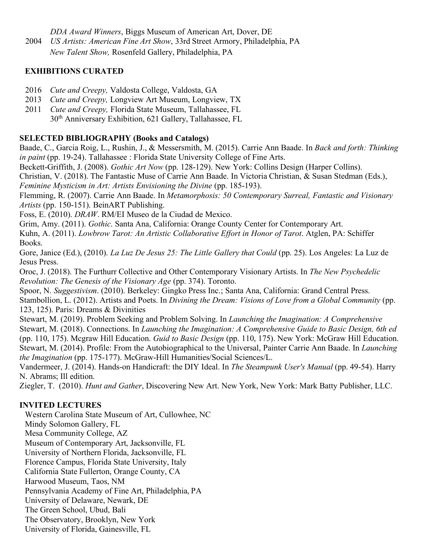*DDA Award Winners*, Biggs Museum of American Art, Dover, DE

2004 *US Artists: American Fine Art Show*, 33rd Street Armory, Philadelphia, PA

*New Talent Show,* Rosenfeld Gallery, Philadelphia, PA

#### **EXHIBITIONS CURATED**

- 2016 *Cute and Creepy,* Valdosta College, Valdosta, GA
- 2013 *Cute and Creepy,* Longview Art Museum, Longview, TX
- 2011 *Cute and Creepy,* Florida State Museum, Tallahassee, FL 30th Anniversary Exhibition, 621 Gallery, Tallahassee, FL

### **SELECTED BIBLIOGRAPHY (Books and Catalogs)**

Baade, C., Garcia Roig, L., Rushin, J., & Messersmith, M. (2015). Carrie Ann Baade. In *Back and forth: Thinking in paint* (pp. 19-24). Tallahassee : Florida State University College of Fine Arts.

Beckett-Griffith, J. (2008). *Gothic Art Now* (pp. 128-129). New York: Collins Design (Harper Collins).

Christian, V. (2018). The Fantastic Muse of Carrie Ann Baade. In Victoria Christian, & Susan Stedman (Eds.), *Feminine Mysticism in Art: Artists Envisioning the Divine* (pp. 185-193).

Flemming, R. (2007). Carrie Ann Baade. In *Metamorphosis: 50 Contemporary Surreal, Fantastic and Visionary Artists* (pp. 150-151). BeinART Publishing.

Foss, E. (2010). *DRAW*. RM/EI Museo de la Ciudad de Mexico.

Grim, Amy. (2011). *Gothic*. Santa Ana, California: Orange County Center for Contemporary Art.

Kuhn, A. (2011). *Lowbrow Tarot: An Artistic Collaborative Effort in Honor of Tarot*. Atglen, PA: Schiffer Books.

Gore, Janice (Ed.), (2010). *La Luz De Jesus 25: The Little Gallery that Could* (pp. 25). Los Angeles: La Luz de Jesus Press.

Oroc, J. (2018). The Furthurr Collective and Other Contemporary Visionary Artists. In *The New Psychedelic Revolution: The Genesis of the Visionary Age* (pp. 374). Toronto.

Spoor, N. *Suggestivism*. (2010). Berkeley: Gingko Press Inc.; Santa Ana, California: Grand Central Press. Stambollion, L. (2012). Artists and Poets. In *Divining the Dream: Visions of Love from a Global Community* (pp. 123, 125). Paris: Dreams & Divinities

Stewart, M. (2019). Problem Seeking and Problem Solving. In *Launching the Imagination: A Comprehensive*  Stewart, M. (2018). Connections. In *Launching the Imagination: A Comprehensive Guide to Basic Design, 6th ed* (pp. 110, 175). Mcgraw Hill Education. *Guid to Basic Design* (pp. 110, 175). New York: McGraw Hill Education. Stewart, M. (2014). Profile: From the Autobiographical to the Universal, Painter Carrie Ann Baade. In *Launching the Imagination* (pp. 175-177). McGraw-Hill Humanities/Social Sciences/L.

Vandermeer, J. (2014). Hands-on Handicraft: the DIY Ideal. In *The Steampunk User's Manual* (pp. 49-54). Harry N. Abrams; Ill edition.

Ziegler, T. (2010). *Hunt and Gather*, Discovering New Art. New York, New York: Mark Batty Publisher, LLC.

## **INVITED LECTURES**

Western Carolina State Museum of Art, Cullowhee, NC Mindy Solomon Gallery, FL Mesa Community College, AZ Museum of Contemporary Art, Jacksonville, FL University of Northern Florida, Jacksonville, FL Florence Campus, Florida State University, Italy California State Fullerton, Orange County, CA Harwood Museum, Taos, NM Pennsylvania Academy of Fine Art, Philadelphia, PA University of Delaware, Newark, DE The Green School, Ubud, Bali The Observatory, Brooklyn, New York University of Florida, Gainesville, FL